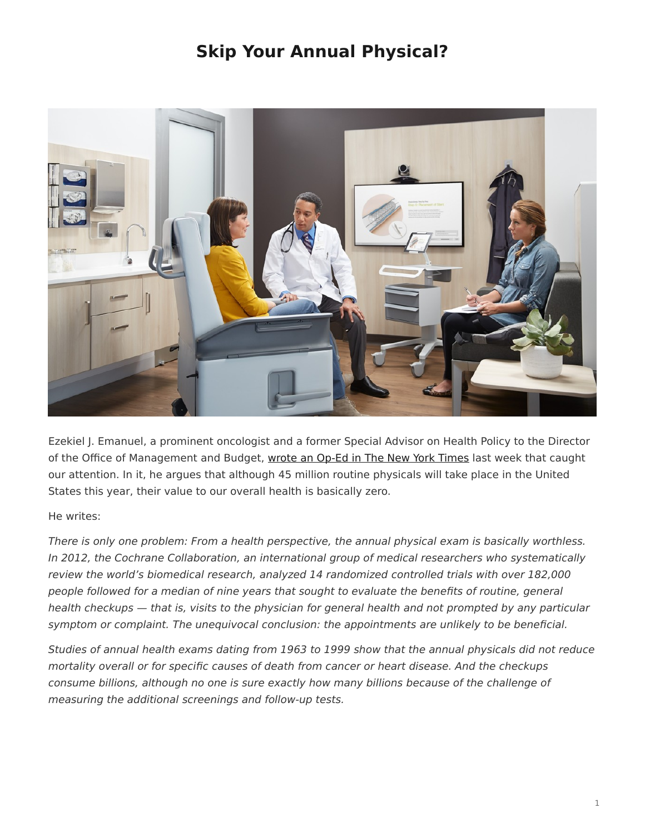## **Skip Your Annual Physical?**

<span id="page-0-0"></span>

Ezekiel J. Emanuel, a prominent oncologist and a former Special Advisor on Health Policy to the Director of the Office of Management and Budget, [wrote an Op-Ed in The New York Times](http://www.nytimes.com/2015/01/09/opinion/skip-your-annual-physical.html?_r=0) last week that caught our attention. In it, he argues that although 45 million routine physicals will take place in the United States this year, their value to our overall health is basically zero.

## He writes:

There is only one problem: From a health perspective, the annual physical exam is basically worthless. In 2012, the Cochrane Collaboration, an international group of medical researchers who systematically review the world's biomedical research, analyzed 14 randomized controlled trials with over 182,000 people followed for a median of nine years that sought to evaluate the benefits of routine, general health checkups — that is, visits to the physician for general health and not prompted by any particular symptom or complaint. The unequivocal conclusion: the appointments are unlikely to be beneficial.

Studies of annual health exams dating from 1963 to 1999 show that the annual physicals did not reduce mortality overall or for specific causes of death from cancer or heart disease. And the checkups consume billions, although no one is sure exactly how many billions because of the challenge of measuring the additional screenings and follow-up tests.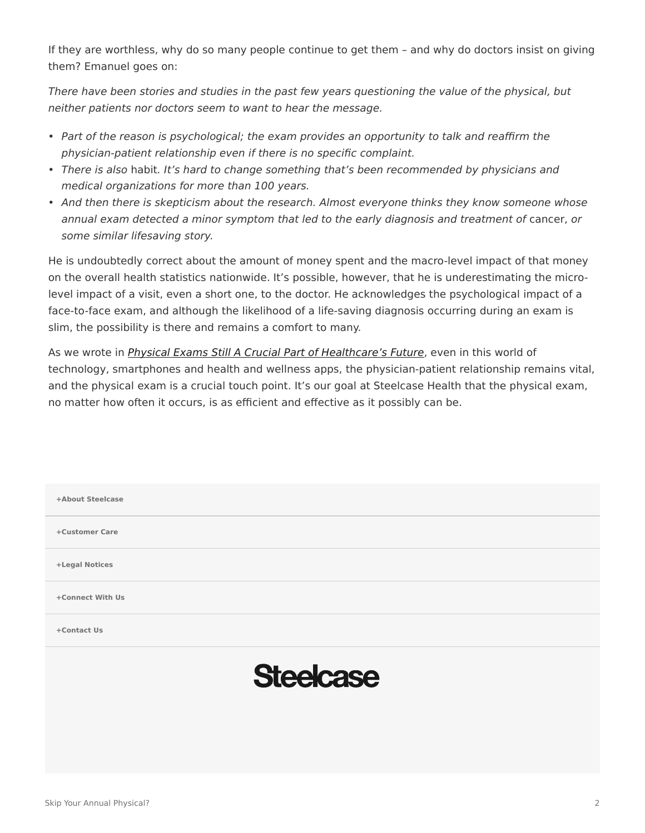If they are worthless, why do so many people continue to get them – and why do doctors insist on giving them? Emanuel goes on:

There have been stories and studies in the past few years questioning the value of the physical, but neither patients nor doctors seem to want to hear the message.

- Part of the reason is psychological; the exam provides an opportunity to talk and reaffirm the physician-patient relationship even if there is no specific complaint.
- There is also habit. It's hard to change something that's been recommended by physicians and medical organizations for more than 100 years.
- And then there is skepticism about the research. Almost everyone thinks they know someone whose annual exam detected a minor symptom that led to the early diagnosis and treatment of cancer, or some similar lifesaving story.

He is undoubtedly correct about the amount of money spent and the macro-level impact of that money on the overall health statistics nationwide. It's possible, however, that he is underestimating the microlevel impact of a visit, even a short one, to the doctor. He acknowledges the psychological impact of a face-to-face exam, and although the likelihood of a life-saving diagnosis occurring during an exam is slim, the possibility is there and remains a comfort to many.

As we wrote in *[Physical Exams Still A Crucial Part of Healthcare's Future](https://www.steelcase.com/blog/skip-your-annual-physical/)*, even in this world of technology, smartphones and health and wellness apps, the physician-patient relationship remains vital, and the physical exam is a crucial touch point. It's our goal at Steelcase Health that the physical exam, no matter how often it occurs, is as efficient and effective as it possibly can be.

| +About Steelcase |                  |
|------------------|------------------|
| +Customer Care   |                  |
| +Legal Notices   |                  |
| +Connect With Us |                  |
| +Contact Us      |                  |
|                  | <b>Steelcase</b> |
|                  |                  |